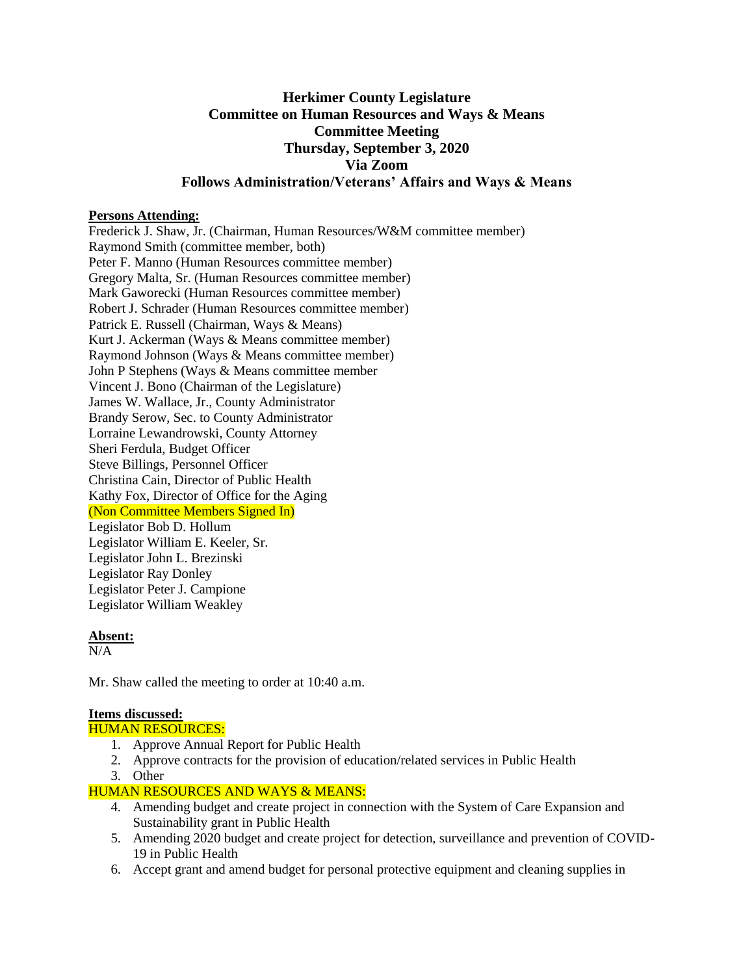# **Herkimer County Legislature Committee on Human Resources and Ways & Means Committee Meeting Thursday, September 3, 2020 Via Zoom Follows Administration/Veterans' Affairs and Ways & Means**

## **Persons Attending:**

Frederick J. Shaw, Jr. (Chairman, Human Resources/W&M committee member) Raymond Smith (committee member, both) Peter F. Manno (Human Resources committee member) Gregory Malta, Sr. (Human Resources committee member) Mark Gaworecki (Human Resources committee member) Robert J. Schrader (Human Resources committee member) Patrick E. Russell (Chairman, Ways & Means) Kurt J. Ackerman (Ways & Means committee member) Raymond Johnson (Ways & Means committee member) John P Stephens (Ways & Means committee member Vincent J. Bono (Chairman of the Legislature) James W. Wallace, Jr., County Administrator Brandy Serow, Sec. to County Administrator Lorraine Lewandrowski, County Attorney Sheri Ferdula, Budget Officer Steve Billings, Personnel Officer Christina Cain, Director of Public Health Kathy Fox, Director of Office for the Aging (Non Committee Members Signed In) Legislator Bob D. Hollum Legislator William E. Keeler, Sr. Legislator John L. Brezinski Legislator Ray Donley Legislator Peter J. Campione Legislator William Weakley

#### **Absent:**

 $N/A$ 

Mr. Shaw called the meeting to order at 10:40 a.m.

## **Items discussed:**

## HUMAN RESOURCES:

- 1. Approve Annual Report for Public Health
- 2. Approve contracts for the provision of education/related services in Public Health
- 3. Other

## HUMAN RESOURCES AND WAYS & MEANS:

- 4. Amending budget and create project in connection with the System of Care Expansion and Sustainability grant in Public Health
- 5. Amending 2020 budget and create project for detection, surveillance and prevention of COVID-19 in Public Health
- 6. Accept grant and amend budget for personal protective equipment and cleaning supplies in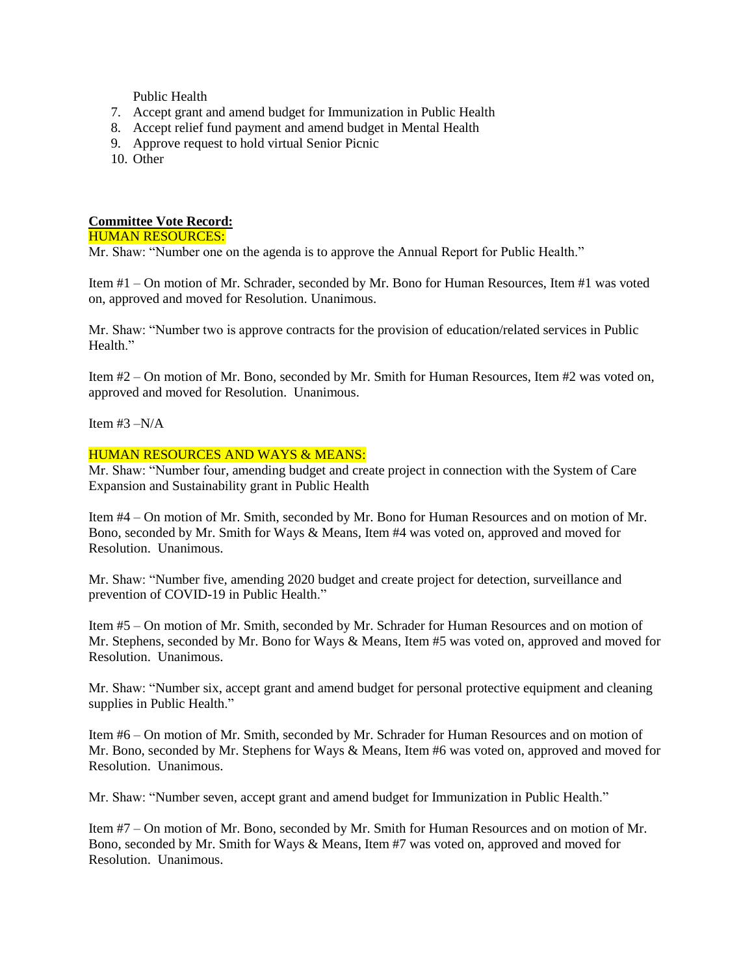Public Health

- 7. Accept grant and amend budget for Immunization in Public Health
- 8. Accept relief fund payment and amend budget in Mental Health
- 9. Approve request to hold virtual Senior Picnic
- 10. Other

## **Committee Vote Record:**

#### HUMAN RESOURCES:

Mr. Shaw: "Number one on the agenda is to approve the Annual Report for Public Health."

Item #1 – On motion of Mr. Schrader, seconded by Mr. Bono for Human Resources, Item #1 was voted on, approved and moved for Resolution. Unanimous.

Mr. Shaw: "Number two is approve contracts for the provision of education/related services in Public Health."

Item #2 – On motion of Mr. Bono, seconded by Mr. Smith for Human Resources, Item #2 was voted on, approved and moved for Resolution. Unanimous.

Item  $#3 - N/A$ 

## HUMAN RESOURCES AND WAYS & MEANS:

Mr. Shaw: "Number four, amending budget and create project in connection with the System of Care Expansion and Sustainability grant in Public Health

Item #4 – On motion of Mr. Smith, seconded by Mr. Bono for Human Resources and on motion of Mr. Bono, seconded by Mr. Smith for Ways & Means, Item #4 was voted on, approved and moved for Resolution. Unanimous.

Mr. Shaw: "Number five, amending 2020 budget and create project for detection, surveillance and prevention of COVID-19 in Public Health."

Item #5 – On motion of Mr. Smith, seconded by Mr. Schrader for Human Resources and on motion of Mr. Stephens, seconded by Mr. Bono for Ways & Means, Item #5 was voted on, approved and moved for Resolution. Unanimous.

Mr. Shaw: "Number six, accept grant and amend budget for personal protective equipment and cleaning supplies in Public Health."

Item #6 – On motion of Mr. Smith, seconded by Mr. Schrader for Human Resources and on motion of Mr. Bono, seconded by Mr. Stephens for Ways & Means, Item #6 was voted on, approved and moved for Resolution. Unanimous.

Mr. Shaw: "Number seven, accept grant and amend budget for Immunization in Public Health."

Item #7 – On motion of Mr. Bono, seconded by Mr. Smith for Human Resources and on motion of Mr. Bono, seconded by Mr. Smith for Ways & Means, Item #7 was voted on, approved and moved for Resolution. Unanimous.